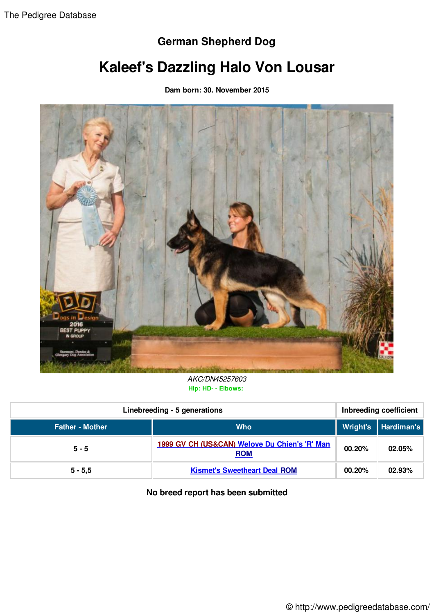## **German Shepherd Dog**

## **Kaleef's Dazzling Halo Von Lousar**

**Dam born: 30. November 2015**



*AKC/DN45257603* **Hip: HD- - Elbows:**

| Linebreeding - 5 generations |                                                             | Inbreeding coefficient |                       |
|------------------------------|-------------------------------------------------------------|------------------------|-----------------------|
| <b>Father - Mother</b>       | <b>Who</b>                                                  |                        | Wright's   Hardiman's |
| $5 - 5$                      | 1999 GV CH (US&CAN) Welove Du Chien's 'R' Man<br><b>ROM</b> | 00.20%                 | 02.05%                |
| $5 - 5,5$                    | <b>Kismet's Sweetheart Deal ROM</b>                         | 00.20%                 | 02.93%                |

## **No breed report has been submitted**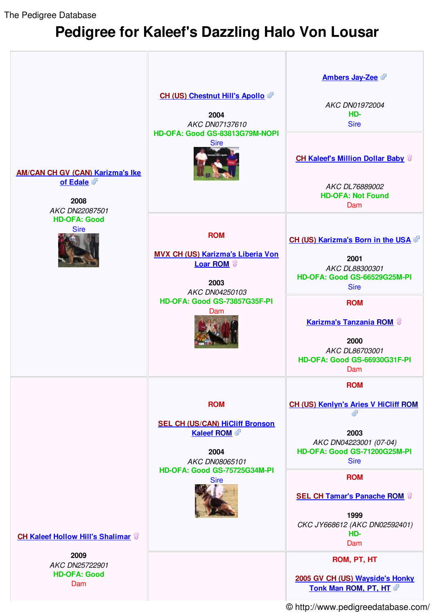The Pedigree Database

## **Pedigree for Kaleef's Dazzling Halo Von Lousar**



© http://www.pedigreedatabase.com/